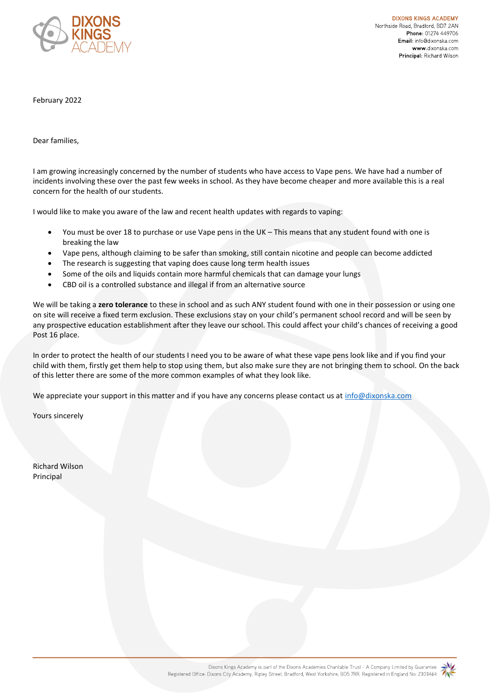

**DIXONS KINGS ACADEMY** Northside Road, Bradford, BD7 2AN Phone: 01274 449706 Email: info@dixonska.com www.dixonska.com Principal: Richard Wilson

February 2022

Dear families,

I am growing increasingly concerned by the number of students who have access to Vape pens. We have had a number of incidents involving these over the past few weeks in school. As they have become cheaper and more available this is a real concern for the health of our students.

I would like to make you aware of the law and recent health updates with regards to vaping:

- You must be over 18 to purchase or use Vape pens in the UK This means that any student found with one is breaking the law
- Vape pens, although claiming to be safer than smoking, still contain nicotine and people can become addicted
- The research is suggesting that vaping does cause long term health issues
- Some of the oils and liquids contain more harmful chemicals that can damage your lungs
- CBD oil is a controlled substance and illegal if from an alternative source

We will be taking a **zero tolerance** to these in school and as such ANY student found with one in their possession or using one on site will receive a fixed term exclusion. These exclusions stay on your child's permanent school record and will be seen by any prospective education establishment after they leave our school. This could affect your child's chances of receiving a good Post 16 place.

In order to protect the health of our students I need you to be aware of what these vape pens look like and if you find your child with them, firstly get them help to stop using them, but also make sure they are not bringing them to school. On the back of this letter there are some of the more common examples of what they look like.

We appreciate your support in this matter and if you have any concerns please contact us at [info@dixonska.com](mailto:info@dixonska.com)

Yours sincerely

Richard Wilson Principal